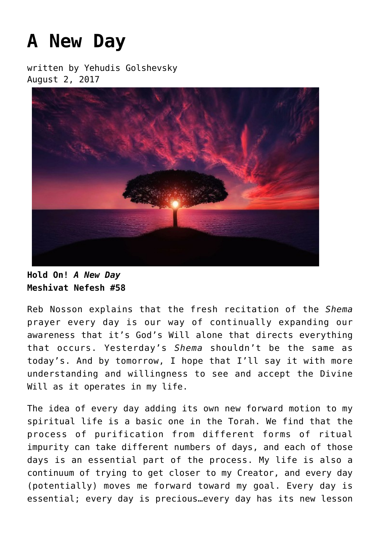## **[A New Day](https://breslov.org/a-new-day/)**

written by Yehudis Golshevsky August 2, 2017



**Hold On!** *A New Day* **Meshivat Nefesh #58**

Reb Nosson explains that the fresh recitation of the *Shema* prayer every day is our way of continually expanding our awareness that it's God's Will alone that directs everything that occurs. Yesterday's *Shema* shouldn't be the same as today's. And by tomorrow, I hope that I'll say it with more understanding and willingness to see and accept the Divine Will as it operates in my life.

The idea of every day adding its own new forward motion to my spiritual life is a basic one in the Torah. We find that the process of purification from different forms of ritual impurity can take different numbers of days, and each of those days is an essential part of the process. My life is also a continuum of trying to get closer to my Creator, and every day (potentially) moves me forward toward my goal. Every day is essential; every day is precious…every day has its new lesson